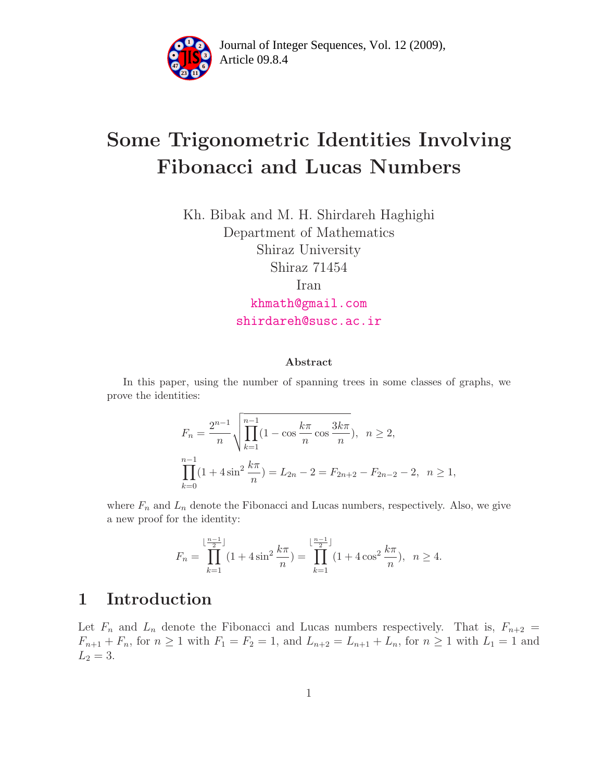

Article 09.8.4 **<sup>2</sup>** Journal of Integer Sequences, Vol. 12 (2009),

# Some Trigonometric Identities Involving Fibonacci and Lucas Numbers

Kh. Bibak and M. H. Shirdareh Haghighi Department of Mathematics Shiraz University Shiraz 71454 Iran

> [khmath@gmail.com](mailto:khmath@gmail.com) [shirdareh@susc.ac.ir](mailto:shirdareh@susc.ac.ir)

#### Abstract

In this paper, using the number of spanning trees in some classes of graphs, we prove the identities:

$$
F_n = \frac{2^{n-1}}{n} \sqrt{\prod_{k=1}^{n-1} (1 - \cos \frac{k\pi}{n} \cos \frac{3k\pi}{n})}, \quad n \ge 2,
$$
  

$$
\prod_{k=0}^{n-1} (1 + 4\sin^2 \frac{k\pi}{n}) = L_{2n} - 2 = F_{2n+2} - F_{2n-2} - 2, \quad n \ge 1,
$$

where  $F_n$  and  $L_n$  denote the Fibonacci and Lucas numbers, respectively. Also, we give a new proof for the identity:

$$
F_n = \prod_{k=1}^{\lfloor \frac{n-1}{2} \rfloor} (1 + 4\sin^2 \frac{k\pi}{n}) = \prod_{k=1}^{\lfloor \frac{n-1}{2} \rfloor} (1 + 4\cos^2 \frac{k\pi}{n}), \ \ n \ge 4.
$$

### 1 Introduction

Let  $F_n$  and  $L_n$  denote the Fibonacci and Lucas numbers respectively. That is,  $F_{n+2}$  =  $F_{n+1} + F_n$ , for  $n \ge 1$  with  $F_1 = F_2 = 1$ , and  $L_{n+2} = L_{n+1} + L_n$ , for  $n \ge 1$  with  $L_1 = 1$  and  $L_2 = 3$ .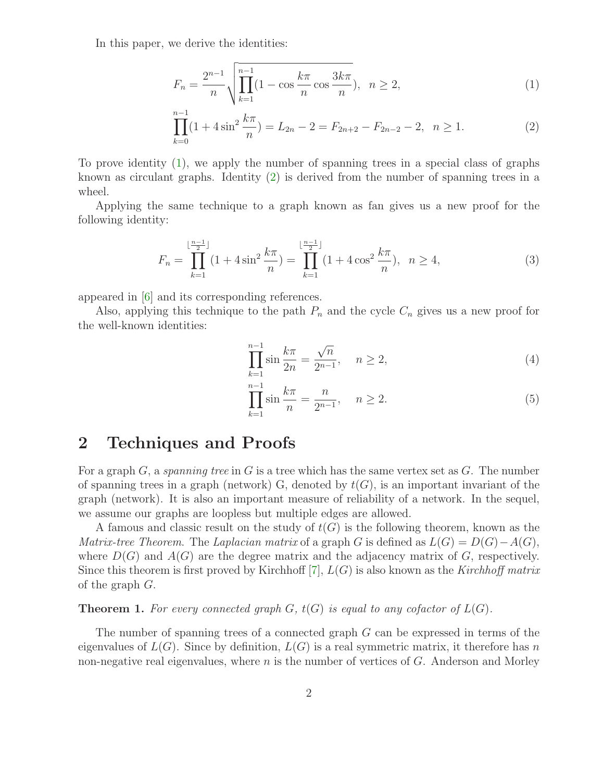<span id="page-1-0"></span>In this paper, we derive the identities:

$$
F_n = \frac{2^{n-1}}{n} \sqrt{\prod_{k=1}^{n-1} (1 - \cos \frac{k\pi}{n} \cos \frac{3k\pi}{n})}, \ \ n \ge 2,
$$
 (1)

$$
\prod_{k=0}^{n-1} (1 + 4\sin^2 \frac{k\pi}{n}) = L_{2n} - 2 = F_{2n+2} - F_{2n-2} - 2, \quad n \ge 1.
$$
 (2)

To prove identity [\(1\)](#page-1-0), we apply the number of spanning trees in a special class of graphs known as circulant graphs. Identity [\(2\)](#page-1-0) is derived from the number of spanning trees in a wheel.

Applying the same technique to a graph known as fan gives us a new proof for the following identity:

$$
F_n = \prod_{k=1}^{\lfloor \frac{n-1}{2} \rfloor} (1 + 4\sin^2 \frac{k\pi}{n}) = \prod_{k=1}^{\lfloor \frac{n-1}{2} \rfloor} (1 + 4\cos^2 \frac{k\pi}{n}), \ \ n \ge 4,
$$
 (3)

<span id="page-1-2"></span>appeared in [\[6\]](#page-4-0) and its corresponding references.

Also, applying this technique to the path  $P_n$  and the cycle  $C_n$  gives us a new proof for the well-known identities:

<span id="page-1-1"></span>
$$
\prod_{k=1}^{n-1} \sin \frac{k\pi}{2n} = \frac{\sqrt{n}}{2^{n-1}}, \quad n \ge 2,
$$
\n(4)

$$
\prod_{k=1}^{n-1} \sin \frac{k\pi}{n} = \frac{n}{2^{n-1}}, \quad n \ge 2.
$$
 (5)

#### 2 Techniques and Proofs

For a graph  $G$ , a spanning tree in G is a tree which has the same vertex set as  $G$ . The number of spanning trees in a graph (network) G, denoted by  $t(G)$ , is an important invariant of the graph (network). It is also an important measure of reliability of a network. In the sequel, we assume our graphs are loopless but multiple edges are allowed.

A famous and classic result on the study of  $t(G)$  is the following theorem, known as the Matrix-tree Theorem. The Laplacian matrix of a graph G is defined as  $L(G) = D(G) - A(G)$ , where  $D(G)$  and  $A(G)$  are the degree matrix and the adjacency matrix of G, respectively. Since this theorem is first proved by Kirchhoff  $[7]$ ,  $L(G)$  is also known as the Kirchhoff matrix of the graph G.

**Theorem 1.** For every connected graph  $G$ ,  $t(G)$  is equal to any cofactor of  $L(G)$ .

The number of spanning trees of a connected graph G can be expressed in terms of the eigenvalues of  $L(G)$ . Since by definition,  $L(G)$  is a real symmetric matrix, it therefore has n non-negative real eigenvalues, where  $n$  is the number of vertices of  $G$ . Anderson and Morley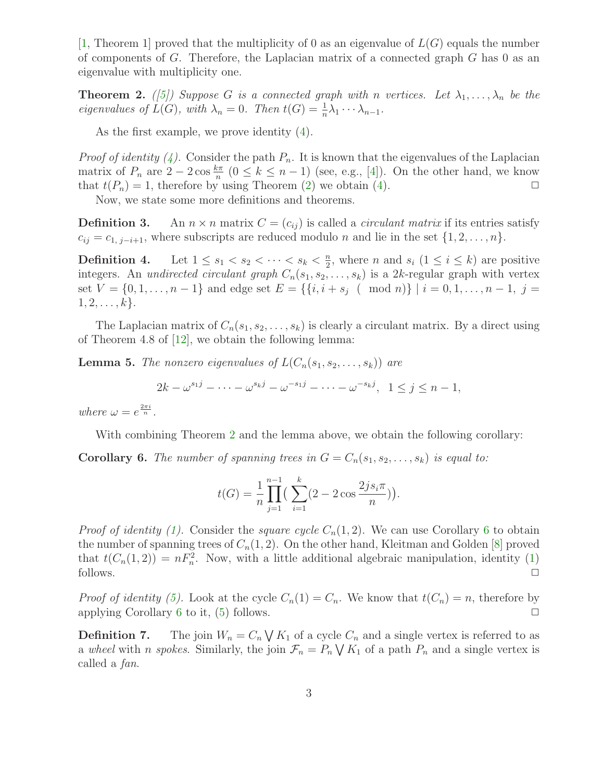[\[1,](#page-3-0) Theorem 1] proved that the multiplicity of 0 as an eigenvalue of  $L(G)$  equals the number of components of  $G$ . Therefore, the Laplacian matrix of a connected graph  $G$  has 0 as an eigenvalue with multiplicity one.

<span id="page-2-0"></span>**Theorem 2.** ([\[5\]](#page-3-1)) Suppose G is a connected graph with n vertices. Let  $\lambda_1, \ldots, \lambda_n$  be the eigenvalues of  $\tilde{L}(G)$ , with  $\lambda_n = 0$ . Then  $t(G) = \frac{1}{n}\lambda_1 \cdots \lambda_{n-1}$ .

As the first example, we prove identity [\(4\)](#page-1-1).

*Proof of identity [\(4\)](#page-1-1).* Consider the path  $P_n$ . It is known that the eigenvalues of the Laplacian matrix of  $P_n$  are  $2-2\cos\frac{k\pi}{n}$   $(0 \le k \le n-1)$  (see, e.g., [\[4\]](#page-3-2)). On the other hand, we know that  $t(P_n) = 1$ , therefore by using Theorem [\(2\)](#page-2-0) we obtain [\(4\)](#page-1-1).

Now, we state some more definitions and theorems.

**Definition 3.** An  $n \times n$  matrix  $C = (c_{ij})$  is called a *circulant matrix* if its entries satisfy  $c_{ij} = c_{1, j-i+1}$ , where subscripts are reduced modulo *n* and lie in the set  $\{1, 2, \ldots, n\}$ .

**Definition 4.** Let  $1 \leq s_1 < s_2 < \cdots < s_k < \frac{n}{2}$  $\frac{n}{2}$ , where *n* and  $s_i$  ( $1 \leq i \leq k$ ) are positive integers. An *undirected circulant graph*  $C_n(s_1, s_2, \ldots, s_k)$  is a 2k-regular graph with vertex set  $V = \{0, 1, \ldots, n-1\}$  and edge set  $E = \{\{i, i + s_j \pmod{n}\} \mid i = 0, 1, \ldots, n-1, j = 1\}$  $1, 2, \ldots, k$ .

<span id="page-2-2"></span>The Laplacian matrix of  $C_n(s_1, s_2, \ldots, s_k)$  is clearly a circulant matrix. By a direct using of Theorem 4.8 of [\[12\]](#page-4-2), we obtain the following lemma:

**Lemma 5.** The nonzero eigenvalues of  $L(C_n(s_1, s_2, \ldots, s_k))$  are

 $2k - \omega^{s_1 j} - \cdots - \omega^{s_k j} - \omega^{-s_1 j} - \cdots - \omega^{-s_k j}, \ \ 1 \le j \le n - 1,$ 

where  $\omega = e^{\frac{2\pi i}{n}}$ .

With combining Theorem [2](#page-2-0) and the lemma above, we obtain the following corollary:

<span id="page-2-1"></span>**Corollary 6.** The number of spanning trees in  $G = C_n(s_1, s_2, \ldots, s_k)$  is equal to:

$$
t(G) = \frac{1}{n} \prod_{j=1}^{n-1} \left( \sum_{i=1}^{k} (2 - 2 \cos \frac{2js_i \pi}{n}) \right).
$$

*Proof of identity [\(1\)](#page-1-0).* Consider the *square cycle*  $C_n(1, 2)$ . We can use Corollary [6](#page-2-1) to obtain the number of spanning trees of  $C_n(1, 2)$ . On the other hand, Kleitman and Golden [\[8\]](#page-4-3) proved that  $t(C_n(1,2)) = nF_n^2$ . Now, with a little additional algebraic manipulation, identity [\(1\)](#page-1-0) follows.  $\Box$ 

*Proof of identity [\(5\)](#page-1-1).* Look at the cycle  $C_n(1) = C_n$ . We know that  $t(C_n) = n$ , therefore by applying Corollary [6](#page-2-1) to it, [\(5\)](#page-1-1) follows.  $\Box$ 

**Definition 7.** The join  $W_n = C_n \bigvee K_1$  of a cycle  $C_n$  and a single vertex is referred to as a wheel with *n spokes*. Similarly, the join  $\mathcal{F}_n = P_n \bigvee K_1$  of a path  $P_n$  and a single vertex is called a fan.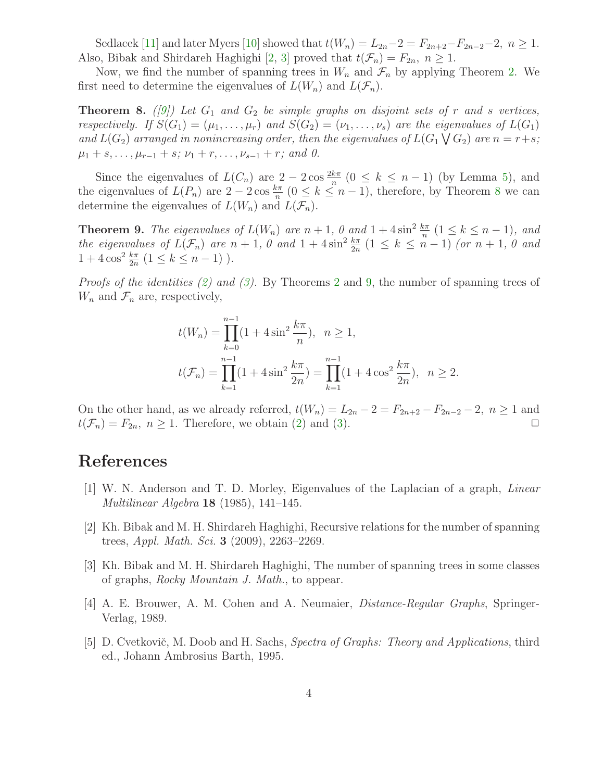Sedlacek [\[11\]](#page-4-4) and later Myers [\[10\]](#page-4-5) showed that  $t(W_n) = L_{2n} - 2 = F_{2n+2} - F_{2n-2} - 2$ ,  $n \ge 1$ . Also, Bibak and Shirdareh Haghighi [\[2,](#page-3-3) [3\]](#page-3-4) proved that  $t(\mathcal{F}_n) = F_{2n}, n \geq 1$ .

<span id="page-3-5"></span>Now, we find the number of spanning trees in  $W_n$  and  $\mathcal{F}_n$  by applying Theorem [2.](#page-2-0) We first need to determine the eigenvalues of  $L(W_n)$  and  $L(\mathcal{F}_n)$ .

**Theorem 8.** ([\[9\]](#page-4-6)) Let  $G_1$  and  $G_2$  be simple graphs on disjoint sets of r and s vertices, respectively. If  $S(G_1) = (\mu_1, \ldots, \mu_r)$  and  $S(G_2) = (\nu_1, \ldots, \nu_s)$  are the eigenvalues of  $L(G_1)$ and  $L(G_2)$  arranged in nonincreasing order, then the eigenvalues of  $L(G_1 \setminus G_2)$  are  $n = r+s$ ;  $\mu_1 + s, \ldots, \mu_{r-1} + s; \nu_1 + r, \ldots, \nu_{s-1} + r;$  and 0.

Since the eigenvalues of  $L(C_n)$  are  $2-2\cos\frac{2k\pi}{n}$   $(0 \le k \le n-1)$  (by Lemma [5\)](#page-2-2), and the eigenvalues of  $L(P_n)$  are  $2-2\cos\frac{k\pi}{n}$   $(0 \le k \le n-1)$ , therefore, by Theorem [8](#page-3-5) we can determine the eigenvalues of  $L(W_n)$  and  $L(\mathcal{F}_n)$ .

<span id="page-3-6"></span>**Theorem 9.** The eigenvalues of  $L(W_n)$  are  $n+1$ , 0 and  $1+4\sin^2\frac{k\pi}{n}$   $(1 \leq k \leq n-1)$ , and the eigenvalues of  $L(\mathcal{F}_n)$  are  $n+1$ ,  $\theta$  and  $1+4\sin^2\frac{k\pi}{2n}$   $(1 \leq k \leq n-1)$  (or  $n+1$ ,  $\theta$  and  $1 + 4\cos^2\frac{k\pi}{2n} (1 \le k \le n - 1)$ ).

Proofs of the identities [\(2\)](#page-1-0) and [\(3\)](#page-1-2). By Theorems [2](#page-2-0) and [9,](#page-3-6) the number of spanning trees of  $W_n$  and  $\mathcal{F}_n$  are, respectively,

$$
t(W_n) = \prod_{k=0}^{n-1} (1 + 4\sin^2 \frac{k\pi}{n}), \quad n \ge 1,
$$
  

$$
t(\mathcal{F}_n) = \prod_{k=1}^{n-1} (1 + 4\sin^2 \frac{k\pi}{2n}) = \prod_{k=1}^{n-1} (1 + 4\cos^2 \frac{k\pi}{2n}), \quad n \ge 2.
$$

On the other hand, as we already referred,  $t(W_n) = L_{2n} - 2 = F_{2n+2} - F_{2n-2} - 2$ ,  $n \ge 1$  and  $t(F_n) = F_{2n}$ ,  $n \ge 1$ . Therefore, we obtain (2) and (3)  $t(\mathcal{F}_n) = F_{2n}, n \geq 1$ . Therefore, we obtain [\(2\)](#page-1-0) and [\(3\)](#page-1-2).

## <span id="page-3-0"></span>References

- [1] W. N. Anderson and T. D. Morley, Eigenvalues of the Laplacian of a graph, Linear Multilinear Algebra 18 (1985), 141–145.
- <span id="page-3-3"></span>[2] Kh. Bibak and M. H. Shirdareh Haghighi, Recursive relations for the number of spanning trees, Appl. Math. Sci. 3 (2009), 2263–2269.
- <span id="page-3-4"></span><span id="page-3-2"></span>[3] Kh. Bibak and M. H. Shirdareh Haghighi, The number of spanning trees in some classes of graphs, Rocky Mountain J. Math., to appear.
- <span id="page-3-1"></span>[4] A. E. Brouwer, A. M. Cohen and A. Neumaier, Distance-Regular Graphs, Springer-Verlag, 1989.
- [5] D. Cvetkovič, M. Doob and H. Sachs, Spectra of Graphs: Theory and Applications, third ed., Johann Ambrosius Barth, 1995.